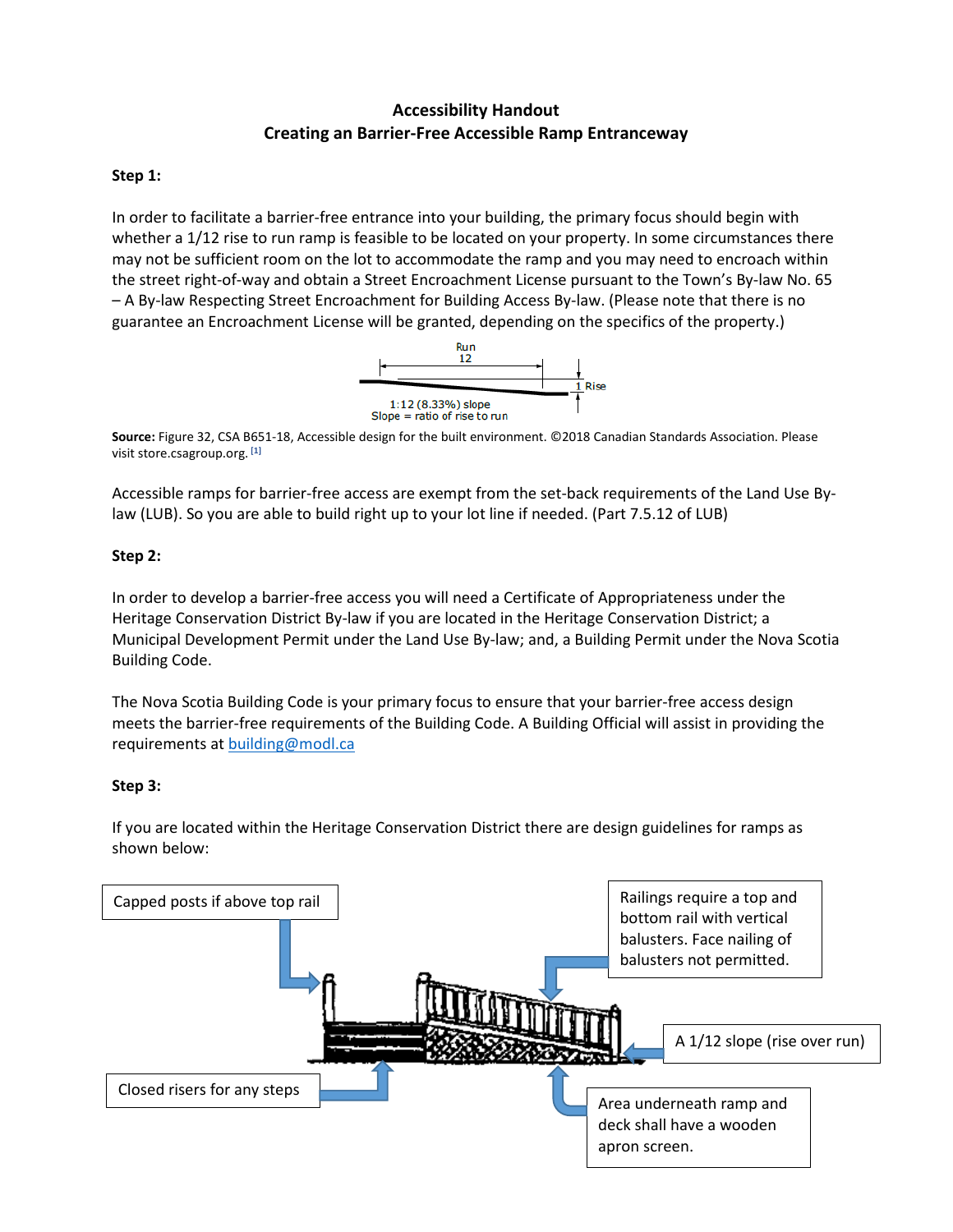# **Accessibility Handout Creating an Barrier-Free Accessible Ramp Entranceway**

## **Step 1:**

In order to facilitate a barrier-free entrance into your building, the primary focus should begin with whether a 1/12 rise to run ramp is feasible to be located on your property. In some circumstances there may not be sufficient room on the lot to accommodate the ramp and you may need to encroach within the street right-of-way and obtain a Street Encroachment License pursuant to the Town's By-law No. 65 – A By-law Respecting Street Encroachment for Building Access By-law. (Please note that there is no guarantee an Encroachment License will be granted, depending on the specifics of the property.)



**Source:** Figure 32, CSA B651-18, Accessible design for the built environment. ©2018 Canadian Standards Association. Please visit store.csagroup.org. **[1]**

Accessible ramps for barrier-free access are exempt from the set-back requirements of the Land Use Bylaw (LUB). So you are able to build right up to your lot line if needed. (Part 7.5.12 of LUB)

## **Step 2:**

In order to develop a barrier-free access you will need a Certificate of Appropriateness under the Heritage Conservation District By-law if you are located in the Heritage Conservation District; a Municipal Development Permit under the Land Use By-law; and, a Building Permit under the Nova Scotia Building Code.

The Nova Scotia Building Code is your primary focus to ensure that your barrier-free access design meets the barrier-free requirements of the Building Code. A Building Official will assist in providing the requirements a[t building@modl.ca](mailto:building@modl.ca)

### **Step 3:**

If you are located within the Heritage Conservation District there are design guidelines for ramps as shown below: